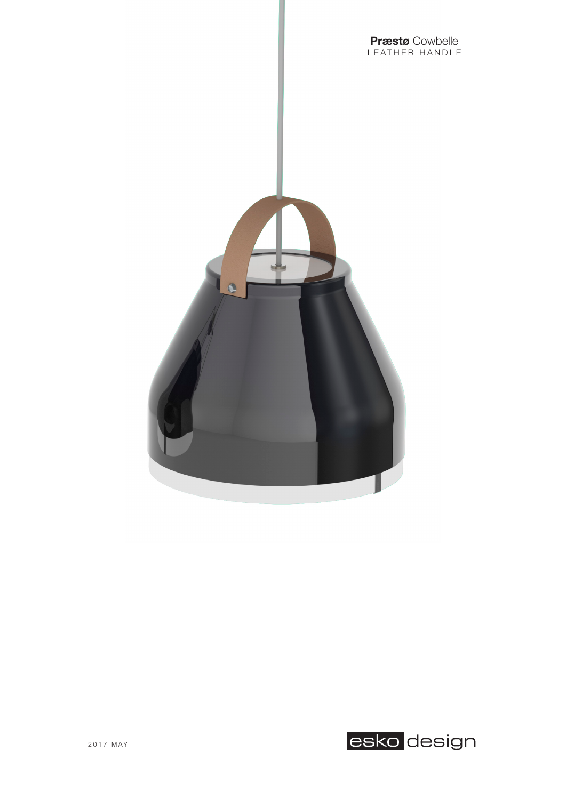